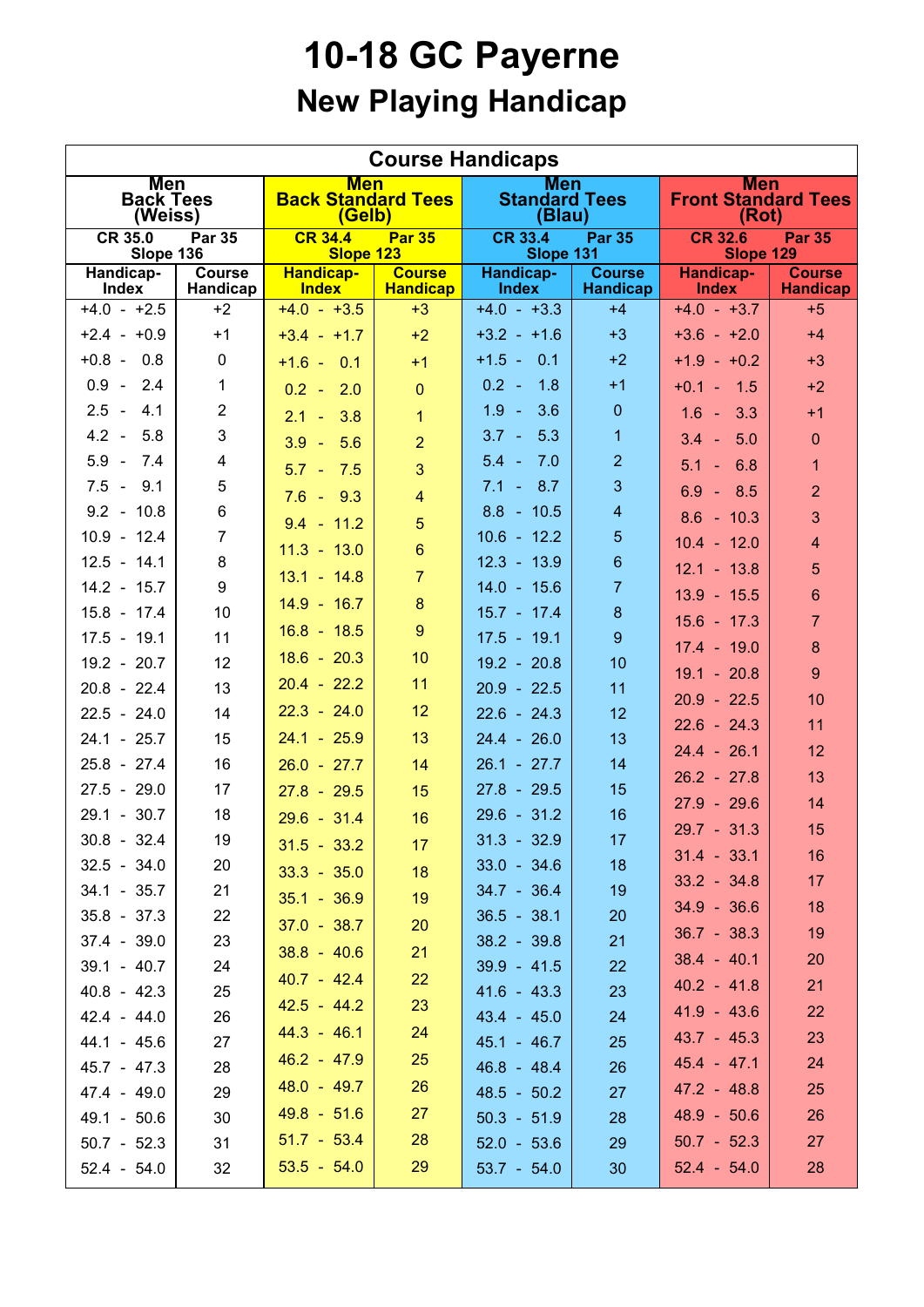## **10-18 GC Payerne New Playing Handicap**

| <b>Course Handicaps</b>                      |                           |                                                   |                                  |                                              |                                  |                                                   |                                  |  |  |  |  |
|----------------------------------------------|---------------------------|---------------------------------------------------|----------------------------------|----------------------------------------------|----------------------------------|---------------------------------------------------|----------------------------------|--|--|--|--|
| <b>Men</b><br><b>Back Tees</b><br>(Weiss)    |                           | <b>Men</b><br><b>Back Standard Tees</b><br>(Gelb) |                                  | <b>Men</b><br><b>Standard Tees</b><br>(Blau) |                                  | <b>Men</b><br><b>Front Standard Tees</b><br>(Rot) |                                  |  |  |  |  |
| <b>CR 35.0</b><br><b>Par 35</b><br>Slope 136 |                           | <b>CR 34.4</b><br><b>Par 35</b><br>Slope 123      |                                  | <b>CR 33.4</b><br><b>Par 35</b><br>Slope 131 |                                  | <b>CR 32.6</b><br><b>Par 35</b><br>Slope 129      |                                  |  |  |  |  |
| Handicap-<br>Index                           | <b>Course</b><br>Handicap | <b>Handicap-</b><br><b>Index</b>                  | <b>Course</b><br><b>Handicap</b> | Handicap-<br><b>Index</b>                    | <b>Course</b><br><b>Handicap</b> | <b>Handicap-</b><br><b>Index</b>                  | <b>Course</b><br><b>Handicap</b> |  |  |  |  |
| $+4.0 - +2.5$                                | $+2$                      | $+4.0 - +3.5$                                     | $+3$                             | $+4.0 - +3.3$                                | $+4$                             | $+4.0 - +3.7$                                     | $+5$                             |  |  |  |  |
| $+2.4 - +0.9$                                | $+1$                      | $+3.4 - +1.7$                                     | $+2$                             | $+3.2 - +1.6$                                | $+3$                             | $+3.6 - +2.0$                                     | $+4$                             |  |  |  |  |
| $+0.8 - 0.8$                                 | 0                         | $+1.6 - 0.1$                                      | $+1$                             | $+1.5 - 0.1$                                 | $+2$                             | $+1.9 - +0.2$                                     | $+3$                             |  |  |  |  |
| $0.9 - 2.4$                                  | $\mathbf{1}$              | $0.2 - 2.0$                                       | $\overline{0}$                   | $0.2 -$<br>1.8                               | $+1$                             | $+0.1 - 1.5$                                      | $+2$                             |  |  |  |  |
| $2.5 - 4.1$                                  | $\overline{2}$            | $2.1 - 3.8$                                       | $\mathbf{1}$                     | $1.9 -$<br>3.6                               | $\pmb{0}$                        | $1.6 - 3.3$                                       | $+1$                             |  |  |  |  |
| $4.2 - 5.8$                                  | 3                         | $3.9 - 5.6$                                       | $\overline{2}$                   | $3.7 - 5.3$                                  | $\mathbf{1}$                     | $3.4 - 5.0$                                       | $\mathbf{0}$                     |  |  |  |  |
| $5.9 -$<br>7.4                               | $\overline{4}$            | $5.7 - 7.5$                                       | $\overline{3}$                   | $5.4 - 7.0$                                  | $\overline{2}$                   | $5.1 - 6.8$                                       | $\overline{1}$                   |  |  |  |  |
| $7.5 - 9.1$                                  | 5                         | $7.6 - 9.3$                                       | $\overline{4}$                   | $7.1 - 8.7$                                  | 3                                | $6.9 - 8.5$                                       | $\overline{2}$                   |  |  |  |  |
| $9.2 - 10.8$                                 | 6                         | $9.4 - 11.2$                                      | $5\overline{)}$                  | $8.8 - 10.5$                                 | $\overline{\mathbf{4}}$          | $8.6 - 10.3$                                      | 3                                |  |  |  |  |
| $10.9 - 12.4$                                | $\overline{7}$            | $11.3 - 13.0$                                     | $6\phantom{a}$                   | $10.6 - 12.2$                                | $\overline{5}$                   | $10.4 - 12.0$                                     | $\overline{4}$                   |  |  |  |  |
| $12.5 - 14.1$                                | 8                         | $13.1 - 14.8$                                     | $\overline{7}$                   | $12.3 - 13.9$                                | $6\phantom{a}$                   | $12.1 - 13.8$                                     | 5                                |  |  |  |  |
| $14.2 - 15.7$                                | 9                         | $14.9 - 16.7$                                     | 8                                | $14.0 - 15.6$                                | $\overline{7}$                   | $13.9 - 15.5$                                     | 6                                |  |  |  |  |
| $15.8 - 17.4$                                | 10                        | $16.8 - 18.5$                                     | 9                                | $15.7 - 17.4$                                | $\boldsymbol{8}$                 | $15.6 - 17.3$                                     | $\overline{7}$                   |  |  |  |  |
| $17.5 - 19.1$                                | 11                        | $18.6 - 20.3$                                     | 10                               | $17.5 - 19.1$                                | 9                                | $17.4 - 19.0$                                     | 8                                |  |  |  |  |
| $19.2 - 20.7$<br>$20.8 - 22.4$               | 12<br>13                  | $20.4 - 22.2$                                     | 11                               | $19.2 - 20.8$                                | 10<br>11                         | $19.1 - 20.8$                                     | 9                                |  |  |  |  |
| $22.5 - 24.0$                                | 14                        | $22.3 - 24.0$                                     | 12                               | $20.9 - 22.5$<br>$22.6 - 24.3$               | 12                               | $20.9 - 22.5$                                     | 10                               |  |  |  |  |
| $24.1 - 25.7$                                | 15                        | $24.1 - 25.9$                                     | 13                               | $24.4 - 26.0$                                | 13                               | $22.6 - 24.3$                                     | 11                               |  |  |  |  |
| $25.8 - 27.4$                                | 16                        | $26.0 - 27.7$                                     | 14                               | $26.1 - 27.7$                                | 14                               | $24.4 - 26.1$                                     | 12                               |  |  |  |  |
| $27.5 - 29.0$                                | 17                        | $27.8 - 29.5$                                     | 15                               | $27.8 - 29.5$                                | 15                               | $26.2 - 27.8$                                     | 13                               |  |  |  |  |
| $29.1 - 30.7$                                | 18                        | $29.6 - 31.4$                                     | 16                               | $29.6 - 31.2$                                | 16                               | $27.9 - 29.6$                                     | 14                               |  |  |  |  |
| $30.8 - 32.4$                                | 19                        |                                                   | 17                               | $31.3 - 32.9$                                | 17                               | $29.7 - 31.3$                                     | 15                               |  |  |  |  |
| $32.5 - 34.0$                                | 20                        | $31.5 - 33.2$                                     |                                  | $33.0 - 34.6$                                | 18                               | $31.4 - 33.1$                                     | 16                               |  |  |  |  |
| $34.1 - 35.7$                                | 21                        | $33.3 - 35.0$                                     | 18                               | $34.7 - 36.4$                                | 19                               | $33.2 - 34.8$                                     | 17 <sub>2</sub>                  |  |  |  |  |
| $35.8 - 37.3$                                | 22                        | $35.1 - 36.9$                                     | 19                               | $36.5 - 38.1$                                | 20                               | $34.9 - 36.6$                                     | 18                               |  |  |  |  |
| $37.4 - 39.0$                                | 23                        | $37.0 - 38.7$                                     | 20                               | $38.2 - 39.8$                                | 21                               | $36.7 - 38.3$                                     | 19                               |  |  |  |  |
| $39.1 - 40.7$                                | 24                        | $38.8 - 40.6$                                     | 21                               | $39.9 - 41.5$                                | 22                               | $38.4 - 40.1$                                     | 20                               |  |  |  |  |
| $40.8 - 42.3$                                | 25                        | $40.7 - 42.4$                                     | 22                               | $41.6 - 43.3$                                | 23                               | $40.2 - 41.8$                                     | 21                               |  |  |  |  |
| $42.4 - 44.0$                                | 26                        | $42.5 - 44.2$                                     | 23                               | $43.4 - 45.0$                                | 24                               | $41.9 - 43.6$                                     | 22                               |  |  |  |  |
| $44.1 - 45.6$                                | 27                        | $44.3 - 46.1$                                     | 24                               | $45.1 - 46.7$                                | 25                               | $43.7 - 45.3$                                     | 23                               |  |  |  |  |
| $45.7 - 47.3$                                | 28                        | $46.2 - 47.9$                                     | 25                               | $46.8 - 48.4$                                | 26                               | $45.4 - 47.1$                                     | 24                               |  |  |  |  |
| $47.4 - 49.0$                                | 29                        | $48.0 - 49.7$                                     | 26                               | $48.5 - 50.2$                                | 27                               | $47.2 - 48.8$                                     | 25                               |  |  |  |  |
| 49.1 - 50.6                                  | 30                        | $49.8 - 51.6$                                     | 27                               | $50.3 - 51.9$                                | 28                               | $48.9 - 50.6$                                     | 26                               |  |  |  |  |
| $50.7 - 52.3$                                | 31                        | $51.7 - 53.4$                                     | 28                               | $52.0 - 53.6$                                | 29                               | $50.7 - 52.3$                                     | 27                               |  |  |  |  |
| $52.4 - 54.0$                                | 32                        | $53.5 - 54.0$                                     | 29                               | $53.7 - 54.0$                                | 30                               | $52.4 - 54.0$                                     | 28                               |  |  |  |  |